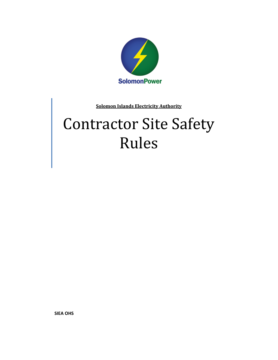

**Solomon Islands Electricity Authority**

# Contractor Site Safety Rules

**SIEA OHS**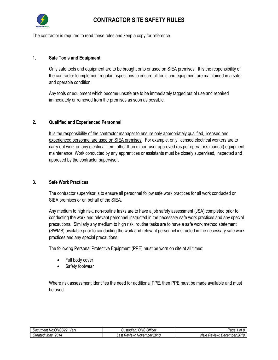

The contractor is required to read these rules and keep a copy for reference.

#### **1. Safe Tools and Equipment**

Only safe tools and equipment are to be brought onto or used on SIEA premises. It is the responsibility of the contractor to implement regular inspections to ensure all tools and equipment are maintained in a safe and operable condition.

Any tools or equipment which become unsafe are to be immediately tagged out of use and repaired immediately or removed from the premises as soon as possible.

#### **2. Qualified and Experienced Personnel**

It is the responsibility of the contractor manager to ensure only appropriately qualified, licensed and experienced personnel are used on SIEA premises. For example, only licensed electrical workers are to carry out work on any electrical item, other than minor, user approved (as per operator's manual) equipment maintenance. Work conducted by any apprentices or assistants must be closely supervised, inspected and approved by the contractor supervisor.

#### **3. Safe Work Practices**

The contractor supervisor is to ensure all personnel follow safe work practices for all work conducted on SIEA premises or on behalf of the SIEA.

Any medium to high risk, non-routine tasks are to have a job safety assessment (JSA) completed prior to conducting the work and relevant personnel instructed in the necessary safe work practices and any special precautions. Similarly any medium to high risk, routine tasks are to have a safe work method statement (SWMS) available prior to conducting the work and relevant personnel instructed in the necessary safe work practices and any special precautions.

The following Personal Protective Equipment (PPE) must be worn on site at all times:

- Full body cover
- Safety footwear

Where risk assessment identifies the need for additional PPE, then PPE must be made available and must be used.

| <b>000</b><br>.JH'<br>Ver<br>Document<br>. No '<br>nouzz | Officer<br>பட<br><i><b>Justodiar</b></i><br>UN 2 | $\sim$<br>onc<br>auc<br>u                               |
|----------------------------------------------------------|--------------------------------------------------|---------------------------------------------------------|
| 2014<br>. Mav<br>created:                                | 2018<br>റപ<br>November<br>Keview:<br>–aפי        | $\cdots$<br>Next<br>December<br><b>Review</b> :<br>.บ เ |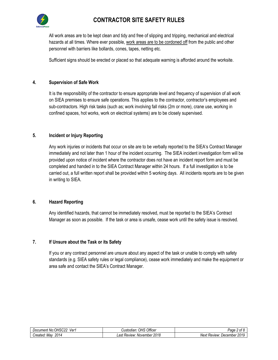

All work areas are to be kept clean and tidy and free of slipping and tripping, mechanical and electrical hazards at all times. Where ever possible, work areas are to be cordoned off from the public and other personnel with barriers like bollards, cones, tapes, netting etc.

Sufficient signs should be erected or placed so that adequate warning is afforded around the worksite.

#### **4. Supervision of Safe Work**

It is the responsibility of the contractor to ensure appropriate level and frequency of supervision of all work on SIEA premises to ensure safe operations. This applies to the contractor, contractor's employees and sub-contractors. High risk tasks (such as; work involving fall risks (2m or more), crane use, working in confined spaces, hot works, work on electrical systems) are to be closely supervised.

#### **5. Incident or Injury Reporting**

Any work injuries or incidents that occur on site are to be verbally reported to the SIEA's Contract Manager immediately and not later than 1 hour of the incident occurring. The SIEA incident investigation form will be provided upon notice of incident where the contractor does not have an incident report form and must be completed and handed in to the SIEA Contract Manager within 24 hours. If a full investigation is to be carried out, a full written report shall be provided within 5 working days. All incidents reports are to be given in writing to SIEA.

#### **6. Hazard Reporting**

Any identified hazards, that cannot be immediately resolved, must be reported to the SIEA's Contract Manager as soon as possible. If the task or area is unsafe, cease work until the safety issue is resolved.

### **7. If Unsure about the Task or its Safety**

If you or any contract personnel are unsure about any aspect of the task or unable to comply with safety standards (e.g. SIEA safety rules or legal compliance), cease work immediately and make the equipment or area safe and contact the SIEA's Contract Manager.

| OHSC2.<br>ver*<br>. No:<br>Document | Office<br>OHS<br>Custodian:                     | $\sim$<br>DΩΩ<br>$\sim$<br>auc<br>UΙ                                |
|-------------------------------------|-------------------------------------------------|---------------------------------------------------------------------|
| 2014<br>Created:<br>Mav             | 2018<br>_ast<br>November<br>Review <sup>.</sup> | NI≙Y†<br>December<br>. Review <sup>.</sup><br><u>' וה</u><br>20 I Q |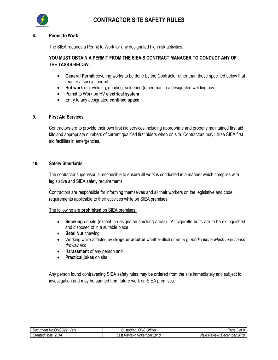

#### **8. Permit to Work**

The SIEA requires a Permit to Work for any designated high risk activities.

## **YOU MUST OBTAIN A PERMIT FROM THE SIEA'S CONTRACT MANAGER TO CONDUCT ANY OF THE TASKS BELOW:**

- **General Permit** covering works to be done by the Contractor other than those specified below that require a special permit
- **Hot work** e.g. welding, grinding, soldering (other than in a designated welding bay)
- Permit to Work on HV **electrical system**
- Entry to any designated **confined space**

#### **9. First Aid Services**

Contractors are to provide their own first aid services including appropriate and properly maintained first aid kits and appropriate numbers of current qualified first aiders when on site. Contractors may utilise SIEA first aid facilities in emergencies.

#### **10. Safety Standards**

The contractor supervisor is responsible to ensure all work is conducted in a manner which complies with legislative and SIEA safety requirements.

Contractors are responsible for informing themselves and all their workers on the legislative and code requirements applicable to their activities while on SIEA premises.

#### The following are **prohibited** on SIEA premises;

- **Smoking** on site (except in designated smoking areas). All cigarette butts are to be extinguished and disposed of in a suitable place
- **•** Betel Nut chewing.
- Working while affected by **drugs or alcohol** whether illicit or not *e.g. medications which may cause drowsiness*
- **Harassment** of any person and
- **Practical jokes** on site

Any person found contravening SIEA safety rules may be ordered from the site immediately and subject to investigation and may be banned from future work on SIEA premises.

| .OHSC22<br>Ver<br>Document<br>. No.' | Officer<br>OHS<br>Custodian.         | $\sim$<br>-aae<br>, ot                          |
|--------------------------------------|--------------------------------------|-------------------------------------------------|
| 2014<br>Created.<br>. Mav            | 2018<br>_ast<br>November.<br>:Review | 2019<br>December<br>Next<br>Review <sup>.</sup> |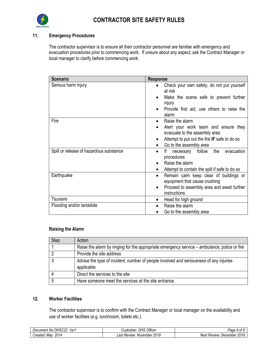

## **11. Emergency Procedures**

The contractor supervisor is to ensure all their contractor personnel are familiar with emergency and evacuation procedures prior to commencing work. If unsure about any aspect, ask the Contract Manager or local manager to clarify before commencing work.

| <b>Scenario</b>                         | <b>Response</b>                                                       |
|-----------------------------------------|-----------------------------------------------------------------------|
| Serious harm injury                     | Check your own safety, do not put yourself<br>$\bullet$<br>at risk    |
|                                         | Make the scene safe to prevent further<br>injury                      |
|                                         | Provide first aid, use others to raise the<br>alarm                   |
| Fire                                    | Raise the alarm<br>$\bullet$                                          |
|                                         | Alert your work team and ensure they<br>evacuate to the assembly area |
|                                         | Attempt to put out the fire IF safe to do so<br>٠                     |
|                                         | Go to the assembly area<br>$\bullet$                                  |
| Spill or release of hazardous substance | evacuation<br>necessary follow<br>the<br>lf.<br>٠<br>procedures       |
|                                         | Raise the alarm                                                       |
|                                         | Attempt to contain the spill if safe to do so<br>$\bullet$            |
| Earthquake                              | Remain calm keep clear of buildings or<br>$\bullet$                   |
|                                         | equipment that cause crushing                                         |
|                                         | Proceed to assembly area and await further<br>$\bullet$               |
|                                         | instructions                                                          |
| Tsunami                                 | Head for high ground<br>$\bullet$                                     |
| Flooding and/or landslide               | Raise the alarm                                                       |
|                                         | Go to the assembly area                                               |

#### **Raising the Alarm**

| Step | Action                                                                                       |
|------|----------------------------------------------------------------------------------------------|
|      | Raise the alarm by ringing for the appropriate emergency service – ambulance, police or fire |
|      | Provide the site address                                                                     |
|      | Advise the type of incident, number of people involved and seriousness of any injuries       |
|      | applicable                                                                                   |
|      | Direct the services to the site                                                              |
|      | Have someone meet the services at the site entrance.                                         |

#### **12. Worker Facilities**

The contractor supervisor is to confirm with the Contract Manager or local manager on the availability and use of worker facilities (e.g. lunchroom, toilets etc.).

| $\sim$<br>Ver<br>℩⊢<br>וימוח<br>Documer<br>- טוני | Officer<br>OHS<br>າ ເລທ<br>isiuuidii | $\sim$<br>חפ<br>uut.<br>$\cdot$                          |
|---------------------------------------------------|--------------------------------------|----------------------------------------------------------|
| 2014<br>Mav<br>reated.                            | 2018<br>_ast<br>Review<br>November   | nn <i>ar</i><br><i><b>Review</b></i><br>December<br>Next |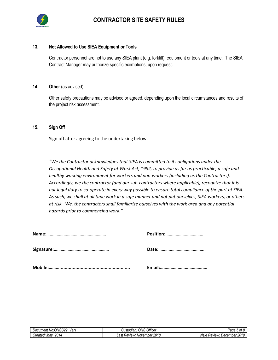

#### **13. Not Allowed to Use SIEA Equipment or Tools**

Contractor personnel are not to use any SIEA plant (e.g. forklift), equipment or tools at any time. The SIEA Contract Manager may authorize specific exemptions, upon request.

#### **14. Other** (as advised)

Other safety precautions may be advised or agreed, depending upon the local circumstances and results of the project risk assessment.

#### **15. Sign Off**

Sign off after agreeing to the undertaking below.

*"We the Contractor acknowledges that SIEA is committed to its obligations under the Occupational Health and Safety at Work Act, 1982, to provide as far as practicable, a safe and healthy working environment for workers and non-workers (including us the Contractors). Accordingly, we the contractor (and our sub-contractors where applicable), recognize that it is our legal duty to co-operate in every way possible to ensure total compliance of the part of SIEA. As such, we shall at all time work in a safe manner and not put ourselves, SIEA workers, or others at risk. We, the contractors shall familiarize ourselves with the work area and any potential hazards prior to commencing work."*

| JH'<br>/er<br>'NO<br>Document<br>- וטני י | Officer<br>11 <sup>o</sup><br><i><b>Justodiar</b></i><br>UN 2   | Раα<br>0Ī                                                        |
|-------------------------------------------|-----------------------------------------------------------------|------------------------------------------------------------------|
| 2014<br>Created.<br>Mav                   | nn 10<br>$\sim$<br>November<br><b>Review:</b><br>ZU 10<br>- a ت | 2010<br>Next<br><i>December</i><br>Review <sup>.</sup><br>$-010$ |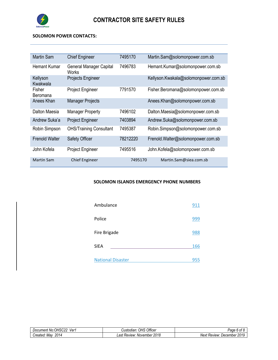

the control of the control of the control of the control of the control of the control of

#### **SOLOMON POWER CONTACTS:**

| Martin Sam            | <b>Chief Engineer</b>                   | 7495170  | Martin.Sam@solomonpower.com.sb       |
|-----------------------|-----------------------------------------|----------|--------------------------------------|
| Hemant Kumar          | <b>General Manager Capital</b><br>Works | 7496783  | Hemant.Kumar@solomonpower.com.sb     |
| Kellyson<br>Kwakwala  | Projects Engineer                       |          | Kellyson.Kwakala@solomonpower.com.sb |
| Fisher<br>Beromana    | <b>Project Engineer</b>                 | 7791570  | Fisher.Beromana@solomonpower.com.sb  |
| Anees Khan            | <b>Manager Projects</b>                 |          | Anees.Khan@solomonpower.com.sb       |
| Dalton Maesia         | <b>Manager Property</b>                 | 7496102  | Dalton.Maesia@solomonpower.com.sb    |
| Andrew Suka'a         | <b>Project Engineer</b>                 | 7403894  | Andrew.Suka@solomonpower.com.sb      |
| Robin Simpson         | <b>OHS/Training Consultant</b>          | 7495387  | Robin.Simpson@solomonpower.com.sb    |
| <b>Frenold Walter</b> | <b>Safety Officer</b>                   | 78212220 | Frenold.Walter@solomonpower.com.sb   |
| John Kofela           | <b>Project Engineer</b>                 | 7495516  | John.Kofela@solomonpower.com.sb      |
| <b>Martin Sam</b>     | <b>Chief Engineer</b>                   | 7495170  | Martin.Sam@siea.com.sb               |

#### **SOLOMON ISLANDS EMERGENCY PHONE NUMBERS**

| Ambulance                | 911 |
|--------------------------|-----|
| Police                   | 999 |
| Fire Brigade             | 988 |
| SIEA                     | 166 |
| <b>National Disaster</b> | 955 |

| OHS<br>co c<br>ver<br>Jocument "<br>ּ הוא<br>$\cdots$<br>. | Officer<br>OHS<br>ıstodian                                | . .<br>γaαe<br>nt<br>$\mathbf{u}$                                   |
|------------------------------------------------------------|-----------------------------------------------------------|---------------------------------------------------------------------|
| 2014<br>reated.<br>Mav                                     | nnar<br>റപ<br><b>Review</b> :<br>November<br>ZU 10<br>–u∙ | $\sim$ $\sim$ $\sim$<br>2019<br>Next<br>December<br><b>Review</b> : |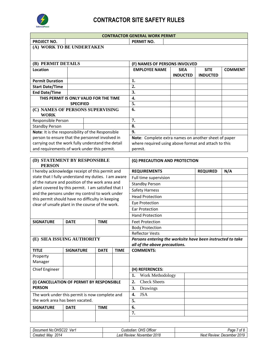

| <b>CONTRACTOR GENERAL WORK PERMIT</b>               |                  |                               |             |             |                                                                                             |  |                 |                 |                |
|-----------------------------------------------------|------------------|-------------------------------|-------------|-------------|---------------------------------------------------------------------------------------------|--|-----------------|-----------------|----------------|
| PROJECT NO.                                         |                  |                               |             |             | PERMIT NO.                                                                                  |  |                 |                 |                |
| (A) WORK TO BE UNDERTAKEN                           |                  |                               |             |             |                                                                                             |  |                 |                 |                |
|                                                     |                  |                               |             |             |                                                                                             |  |                 |                 |                |
|                                                     |                  |                               |             |             |                                                                                             |  |                 |                 |                |
| (B) PERMIT DETAILS                                  |                  |                               |             |             | (F) NAMES OF PERSONS INVOLVED                                                               |  |                 |                 |                |
| Location                                            |                  |                               |             |             | <b>EMPLOYEE NAME</b>                                                                        |  | <b>SIEA</b>     | <b>SITE</b>     | <b>COMMENT</b> |
|                                                     |                  |                               |             |             |                                                                                             |  | <b>INDUCTED</b> | <b>INDUCTED</b> |                |
| <b>Permit Duration</b>                              |                  |                               |             |             | 1.                                                                                          |  |                 |                 |                |
| <b>Start Date/Time</b>                              |                  |                               |             |             | 2.                                                                                          |  |                 |                 |                |
| <b>End Date/Time</b>                                |                  |                               |             |             | 3.<br>4.                                                                                    |  |                 |                 |                |
| THIS PERMIT IS ONLY VALID FOR THE TIME              |                  |                               |             |             | 5.                                                                                          |  |                 |                 |                |
|                                                     | <b>SPECIFIED</b> |                               |             |             | 6.                                                                                          |  |                 |                 |                |
| (C) NAMES OF PERSONS SUPERVISING<br><b>WORK</b>     |                  |                               |             |             |                                                                                             |  |                 |                 |                |
| Responsible Person                                  |                  |                               |             |             | 7.                                                                                          |  |                 |                 |                |
| <b>Standby Person</b>                               |                  |                               |             |             | 8.                                                                                          |  |                 |                 |                |
| Note: It is the responsibility of the Responsible   |                  |                               |             |             | 9.                                                                                          |  |                 |                 |                |
| person to ensure that the personnel involved in     |                  |                               |             |             | Note: Complete extra names on another sheet of paper                                        |  |                 |                 |                |
| carrying out the work fully understand the detail   |                  |                               |             |             | where required using above format and attach to this                                        |  |                 |                 |                |
| and requirements of work under this permit.         |                  |                               |             |             | permit.                                                                                     |  |                 |                 |                |
|                                                     |                  |                               |             |             |                                                                                             |  |                 |                 |                |
| (D) STATEMENT BY RESPONSIBLE<br><b>PERSON</b>       |                  | (G) PRECAUTION AND PROTECTION |             |             |                                                                                             |  |                 |                 |                |
| I hereby acknowledge receipt of this permit and     |                  |                               |             |             | <b>REQUIREMENTS</b>                                                                         |  | <b>REQUIRED</b> | N/A             |                |
| state that I fully understand my duties. I am aware |                  |                               |             |             | Full time supervision                                                                       |  |                 |                 |                |
| of the nature and position of the work area and     |                  |                               |             |             | <b>Standby Person</b>                                                                       |  |                 |                 |                |
| plant covered by this permit. I am satisfied that I |                  |                               |             |             | Safety Harness                                                                              |  |                 |                 |                |
| and the persons under my control to work under      |                  |                               |             |             | <b>Head Protection</b>                                                                      |  |                 |                 |                |
| this permit should have no difficulty in keeping    |                  |                               |             |             | <b>Eye Protection</b>                                                                       |  |                 |                 |                |
| clear of unsafe plant in the course of the work.    |                  |                               |             |             | Ear Protection                                                                              |  |                 |                 |                |
|                                                     |                  |                               |             |             | <b>Hand Protection</b>                                                                      |  |                 |                 |                |
|                                                     |                  |                               |             |             |                                                                                             |  |                 |                 |                |
| <b>SIGNATURE</b>                                    | <b>DATE</b>      |                               | <b>TIME</b> |             | <b>Feet Protection</b>                                                                      |  |                 |                 |                |
|                                                     |                  |                               |             |             | <b>Body Protection</b>                                                                      |  |                 |                 |                |
| (E) SIEA ISSUING AUTHORITY                          |                  |                               |             |             | <b>Reflector Vests</b>                                                                      |  |                 |                 |                |
|                                                     |                  |                               |             |             | Persons entering the worksite have been instructed to take<br>all of the above precautions. |  |                 |                 |                |
| <b>TITLE</b>                                        | <b>SIGNATURE</b> |                               | <b>DATE</b> | <b>TIME</b> | <b>COMMENTS:</b>                                                                            |  |                 |                 |                |
| Property                                            |                  |                               |             |             |                                                                                             |  |                 |                 |                |
| Manager                                             |                  |                               |             |             |                                                                                             |  |                 |                 |                |
| <b>Chief Engineer</b>                               |                  |                               |             |             | (H) REFERENCES:                                                                             |  |                 |                 |                |
|                                                     |                  |                               |             |             | 1.<br>Work Methodology                                                                      |  |                 |                 |                |
| (I) CANCELLATION OF PERMIT BY RESPONSIBLE           |                  | <b>Check Sheets</b><br>2.     |             |             |                                                                                             |  |                 |                 |                |
| <b>PERSON</b>                                       |                  | 3.<br>Drawings                |             |             |                                                                                             |  |                 |                 |                |
| The work under this permit is now complete and      |                  | <b>JSA</b><br>4.              |             |             |                                                                                             |  |                 |                 |                |
| the work area has been vacated.                     |                  | 5.                            |             |             |                                                                                             |  |                 |                 |                |
| <b>SIGNATURE</b>                                    | <b>DATE</b>      |                               | <b>TIME</b> |             | 6.                                                                                          |  |                 |                 |                |
|                                                     |                  |                               |             |             | 7.                                                                                          |  |                 |                 |                |
|                                                     |                  |                               |             |             |                                                                                             |  |                 |                 |                |
|                                                     |                  |                               |             |             |                                                                                             |  |                 |                 |                |

| .000<br>س<br>Ver'<br>Document '<br>$N \wedge$<br>'' IVC<br>いいしん<br>טו וש.<br>וסי | $\sim$ $\sim$<br>OHS<br><b>Officer</b><br>odian.<br>Custodia | ໍ^<br>⊍aαn<br>$-$<br>aut<br>v                                                      |
|----------------------------------------------------------------------------------|--------------------------------------------------------------|------------------------------------------------------------------------------------|
| 2014<br>Mav<br>reated.                                                           | 2018<br>. oct<br>November<br>. Review <sup>.</sup><br>-ası   | nnan<br>'NAY*<br>December<br>. Review <sup>.</sup><br>,,,,<br>៴ত∧≀<br><b>LVI</b> 6 |